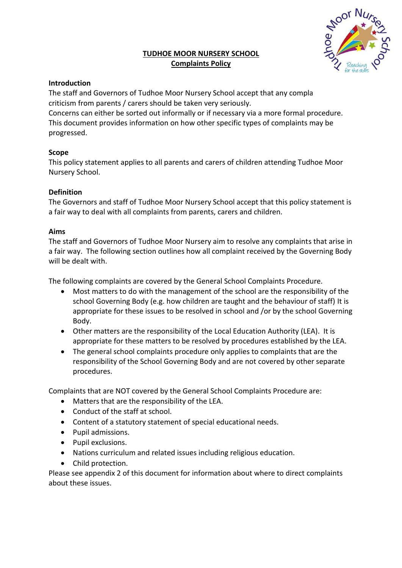# **TUDHOE MOOR NURSERY SCHOOL Complaints Policy**



# **Introduction**

The staff and Governors of Tudhoe Moor Nursery School accept that any complaint criticism from parents / carers should be taken very seriously.

Concerns can either be sorted out informally or if necessary via a more formal procedure. This document provides information on how other specific types of complaints may be progressed.

# **Scope**

This policy statement applies to all parents and carers of children attending Tudhoe Moor Nursery School.

# **Definition**

The Governors and staff of Tudhoe Moor Nursery School accept that this policy statement is a fair way to deal with all complaints from parents, carers and children.

# **Aims**

The staff and Governors of Tudhoe Moor Nursery aim to resolve any complaints that arise in a fair way. The following section outlines how all complaint received by the Governing Body will be dealt with.

The following complaints are covered by the General School Complaints Procedure.

- Most matters to do with the management of the school are the responsibility of the school Governing Body (e.g. how children are taught and the behaviour of staff) It is appropriate for these issues to be resolved in school and /or by the school Governing Body.
- Other matters are the responsibility of the Local Education Authority (LEA). It is appropriate for these matters to be resolved by procedures established by the LEA.
- The general school complaints procedure only applies to complaints that are the responsibility of the School Governing Body and are not covered by other separate procedures.

Complaints that are NOT covered by the General School Complaints Procedure are:

- Matters that are the responsibility of the LEA.
- Conduct of the staff at school.
- Content of a statutory statement of special educational needs.
- Pupil admissions.
- Pupil exclusions.
- Nations curriculum and related issues including religious education.
- Child protection.

Please see appendix 2 of this document for information about where to direct complaints about these issues.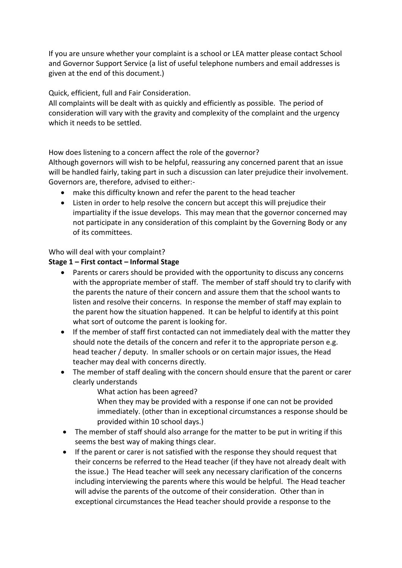If you are unsure whether your complaint is a school or LEA matter please contact School and Governor Support Service (a list of useful telephone numbers and email addresses is given at the end of this document.)

Quick, efficient, full and Fair Consideration.

All complaints will be dealt with as quickly and efficiently as possible. The period of consideration will vary with the gravity and complexity of the complaint and the urgency which it needs to be settled.

How does listening to a concern affect the role of the governor?

Although governors will wish to be helpful, reassuring any concerned parent that an issue will be handled fairly, taking part in such a discussion can later prejudice their involvement. Governors are, therefore, advised to either:-

- make this difficulty known and refer the parent to the head teacher
- Listen in order to help resolve the concern but accept this will prejudice their impartiality if the issue develops. This may mean that the governor concerned may not participate in any consideration of this complaint by the Governing Body or any of its committees.

Who will deal with your complaint?

### **Stage 1 – First contact – Informal Stage**

- Parents or carers should be provided with the opportunity to discuss any concerns with the appropriate member of staff. The member of staff should try to clarify with the parents the nature of their concern and assure them that the school wants to listen and resolve their concerns. In response the member of staff may explain to the parent how the situation happened. It can be helpful to identify at this point what sort of outcome the parent is looking for.
- If the member of staff first contacted can not immediately deal with the matter they should note the details of the concern and refer it to the appropriate person e.g. head teacher / deputy. In smaller schools or on certain major issues, the Head teacher may deal with concerns directly.
- The member of staff dealing with the concern should ensure that the parent or carer clearly understands

What action has been agreed?

When they may be provided with a response if one can not be provided immediately. (other than in exceptional circumstances a response should be provided within 10 school days.)

- The member of staff should also arrange for the matter to be put in writing if this seems the best way of making things clear.
- If the parent or carer is not satisfied with the response they should request that their concerns be referred to the Head teacher (if they have not already dealt with the issue.) The Head teacher will seek any necessary clarification of the concerns including interviewing the parents where this would be helpful. The Head teacher will advise the parents of the outcome of their consideration. Other than in exceptional circumstances the Head teacher should provide a response to the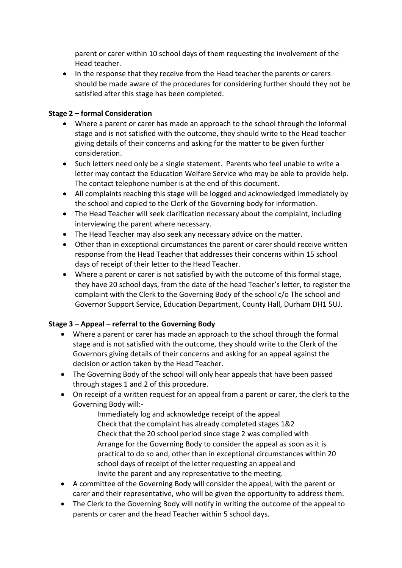parent or carer within 10 school days of them requesting the involvement of the Head teacher.

• In the response that they receive from the Head teacher the parents or carers should be made aware of the procedures for considering further should they not be satisfied after this stage has been completed.

### **Stage 2 – formal Consideration**

- Where a parent or carer has made an approach to the school through the informal stage and is not satisfied with the outcome, they should write to the Head teacher giving details of their concerns and asking for the matter to be given further consideration.
- Such letters need only be a single statement. Parents who feel unable to write a letter may contact the Education Welfare Service who may be able to provide help. The contact telephone number is at the end of this document.
- All complaints reaching this stage will be logged and acknowledged immediately by the school and copied to the Clerk of the Governing body for information.
- The Head Teacher will seek clarification necessary about the complaint, including interviewing the parent where necessary.
- The Head Teacher may also seek any necessary advice on the matter.
- Other than in exceptional circumstances the parent or carer should receive written response from the Head Teacher that addresses their concerns within 15 school days of receipt of their letter to the Head Teacher.
- Where a parent or carer is not satisfied by with the outcome of this formal stage, they have 20 school days, from the date of the head Teacher's letter, to register the complaint with the Clerk to the Governing Body of the school c/o The school and Governor Support Service, Education Department, County Hall, Durham DH1 5UJ.

# **Stage 3 – Appeal – referral to the Governing Body**

- Where a parent or carer has made an approach to the school through the formal stage and is not satisfied with the outcome, they should write to the Clerk of the Governors giving details of their concerns and asking for an appeal against the decision or action taken by the Head Teacher.
- The Governing Body of the school will only hear appeals that have been passed through stages 1 and 2 of this procedure.
- On receipt of a written request for an appeal from a parent or carer, the clerk to the Governing Body will:-

Immediately log and acknowledge receipt of the appeal Check that the complaint has already completed stages 1&2 Check that the 20 school period since stage 2 was complied with Arrange for the Governing Body to consider the appeal as soon as it is practical to do so and, other than in exceptional circumstances within 20 school days of receipt of the letter requesting an appeal and Invite the parent and any representative to the meeting.

- A committee of the Governing Body will consider the appeal, with the parent or carer and their representative, who will be given the opportunity to address them.
- The Clerk to the Governing Body will notify in writing the outcome of the appeal to parents or carer and the head Teacher within 5 school days.